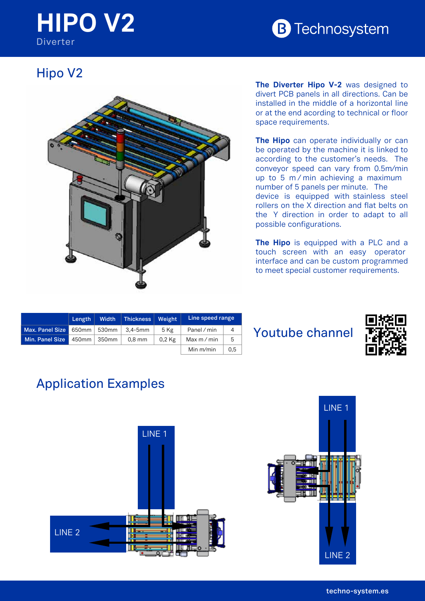## **HIPO V2** B Techn **Diverter**



## Hipo V2



**The Diverter Hipo V-2** was designed to divert PCB panels in all directions. Can be installed in the middle of a horizontal line or at the end acording to technical or floor space requirements.

arm nythema ui Xolgeren<br>902 902 902 up to 5 m/min achieving a maximum **The Hipo** can operate individually or can be operated by the machine it is linked to according to the customer's needs. The conveyor speed can vary from 0.5m/min number of 5 panels per minute. The device is equipped with stainless steel rollers on the X direction and flat belts on the Y direction in order to adapt to all possible configurations.

**The Hipo** is equipped with a PLC and a touch screen with an easy operator interface and can be custom programmed to meet special customer requirements.

|                 | Length $\ $ |                  | Width   Thickness   Weight |        | Line speed range |                |
|-----------------|-------------|------------------|----------------------------|--------|------------------|----------------|
| Max. Panel Size |             | $650$ mm   530mm | 3.4-5mm                    | 5 Kg   | Panel / min      | $\overline{A}$ |
| Min. Panel Size |             | 450mm 350mm      | $0.8$ mm                   | 0.2 Kg | Max $m/m$ in     | 5              |
|                 |             |                  |                            |        | Min $m/min$      | 0.5            |

## Youtube channel



## Application Examples

**TOLERANCIA GENERAL**



**HIPO V2 DIVERTER** 0524415

5



2 3 4